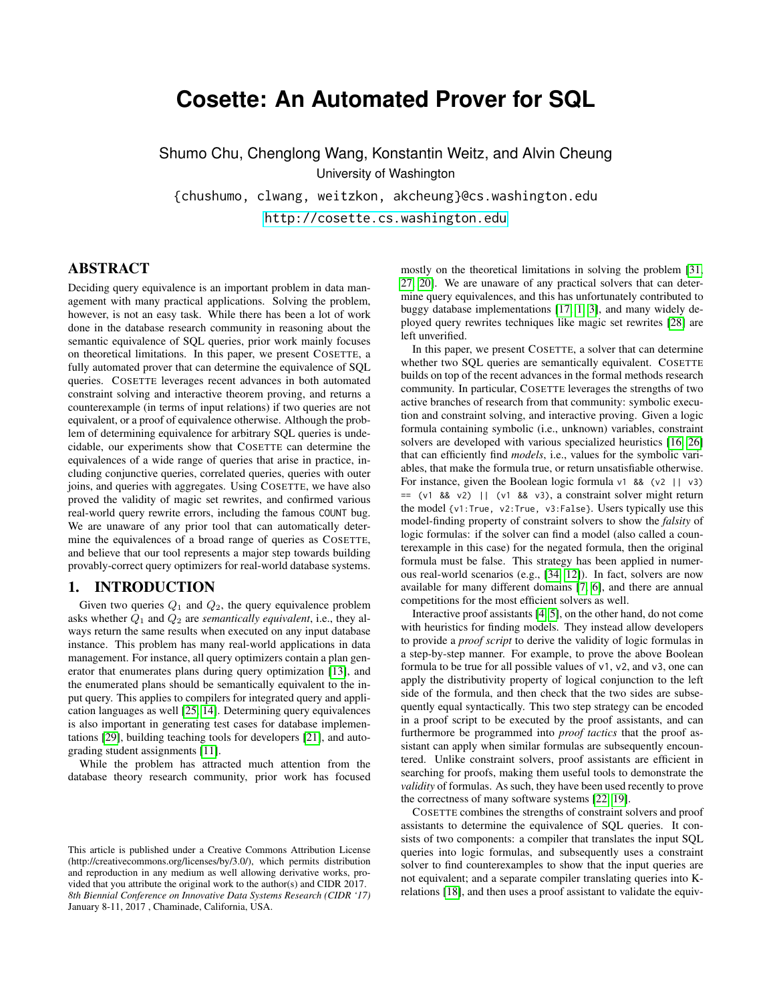# **Cosette: An Automated Prover for SQL**

Shumo Chu, Chenglong Wang, Konstantin Weitz, and Alvin Cheung University of Washington {chushumo, clwang, weitzkon, akcheung}@cs.washington.edu

<http://cosette.cs.washington.edu>

## ABSTRACT

Deciding query equivalence is an important problem in data management with many practical applications. Solving the problem, however, is not an easy task. While there has been a lot of work done in the database research community in reasoning about the semantic equivalence of SQL queries, prior work mainly focuses on theoretical limitations. In this paper, we present COSETTE, a fully automated prover that can determine the equivalence of SQL queries. COSETTE leverages recent advances in both automated constraint solving and interactive theorem proving, and returns a counterexample (in terms of input relations) if two queries are not equivalent, or a proof of equivalence otherwise. Although the problem of determining equivalence for arbitrary SQL queries is undecidable, our experiments show that COSETTE can determine the equivalences of a wide range of queries that arise in practice, including conjunctive queries, correlated queries, queries with outer joins, and queries with aggregates. Using COSETTE, we have also proved the validity of magic set rewrites, and confirmed various real-world query rewrite errors, including the famous COUNT bug. We are unaware of any prior tool that can automatically determine the equivalences of a broad range of queries as COSETTE, and believe that our tool represents a major step towards building provably-correct query optimizers for real-world database systems.

## <span id="page-0-0"></span>1. INTRODUCTION

Given two queries  $Q_1$  and  $Q_2$ , the query equivalence problem asks whether  $Q_1$  and  $Q_2$  are *semantically equivalent*, i.e., they always return the same results when executed on any input database instance. This problem has many real-world applications in data management. For instance, all query optimizers contain a plan generator that enumerates plans during query optimization [\[13\]](#page-6-0), and the enumerated plans should be semantically equivalent to the input query. This applies to compilers for integrated query and application languages as well [\[25,](#page-6-1) [14\]](#page-6-2). Determining query equivalences is also important in generating test cases for database implementations [\[29\]](#page-6-3), building teaching tools for developers [\[21\]](#page-6-4), and autograding student assignments [\[11\]](#page-6-5).

While the problem has attracted much attention from the database theory research community, prior work has focused mostly on the theoretical limitations in solving the problem [\[31,](#page-6-6) [27,](#page-6-7) [20\]](#page-6-8). We are unaware of any practical solvers that can determine query equivalences, and this has unfortunately contributed to buggy database implementations [\[17,](#page-6-9) [1,](#page-6-10) [3\]](#page-6-11), and many widely deployed query rewrites techniques like magic set rewrites [\[28\]](#page-6-12) are left unverified.

In this paper, we present COSETTE, a solver that can determine whether two SQL queries are semantically equivalent. COSETTE builds on top of the recent advances in the formal methods research community. In particular, COSETTE leverages the strengths of two active branches of research from that community: symbolic execution and constraint solving, and interactive proving. Given a logic formula containing symbolic (i.e., unknown) variables, constraint solvers are developed with various specialized heuristics [\[16,](#page-6-13) [26\]](#page-6-14) that can efficiently find *models*, i.e., values for the symbolic variables, that make the formula true, or return unsatisfiable otherwise. For instance, given the Boolean logic formula  $v1$  & (v2 || v3)  $=$  (v1 && v2) || (v1 && v3), a constraint solver might return the model {v1:True, v2:True, v3:False}. Users typically use this model-finding property of constraint solvers to show the *falsity* of logic formulas: if the solver can find a model (also called a counterexample in this case) for the negated formula, then the original formula must be false. This strategy has been applied in numerous real-world scenarios (e.g., [\[34,](#page-6-15) [12\]](#page-6-16)). In fact, solvers are now available for many different domains [\[7,](#page-6-17) [6\]](#page-6-18), and there are annual competitions for the most efficient solvers as well.

Interactive proof assistants [\[4,](#page-6-19) [5\]](#page-6-20), on the other hand, do not come with heuristics for finding models. They instead allow developers to provide a *proof script* to derive the validity of logic formulas in a step-by-step manner. For example, to prove the above Boolean formula to be true for all possible values of v1, v2, and v3, one can apply the distributivity property of logical conjunction to the left side of the formula, and then check that the two sides are subsequently equal syntactically. This two step strategy can be encoded in a proof script to be executed by the proof assistants, and can furthermore be programmed into *proof tactics* that the proof assistant can apply when similar formulas are subsequently encountered. Unlike constraint solvers, proof assistants are efficient in searching for proofs, making them useful tools to demonstrate the *validity* of formulas. As such, they have been used recently to prove the correctness of many software systems [\[22,](#page-6-21) [19\]](#page-6-22).

COSETTE combines the strengths of constraint solvers and proof assistants to determine the equivalence of SQL queries. It consists of two components: a compiler that translates the input SQL queries into logic formulas, and subsequently uses a constraint solver to find counterexamples to show that the input queries are not equivalent; and a separate compiler translating queries into Krelations [\[18\]](#page-6-23), and then uses a proof assistant to validate the equiv-

This article is published under a Creative Commons Attribution License (http://creativecommons.org/licenses/by/3.0/), which permits distribution and reproduction in any medium as well allowing derivative works, provided that you attribute the original work to the author(s) and CIDR 2017. *8th Biennial Conference on Innovative Data Systems Research (CIDR '17)* January 8-11, 2017 , Chaminade, California, USA.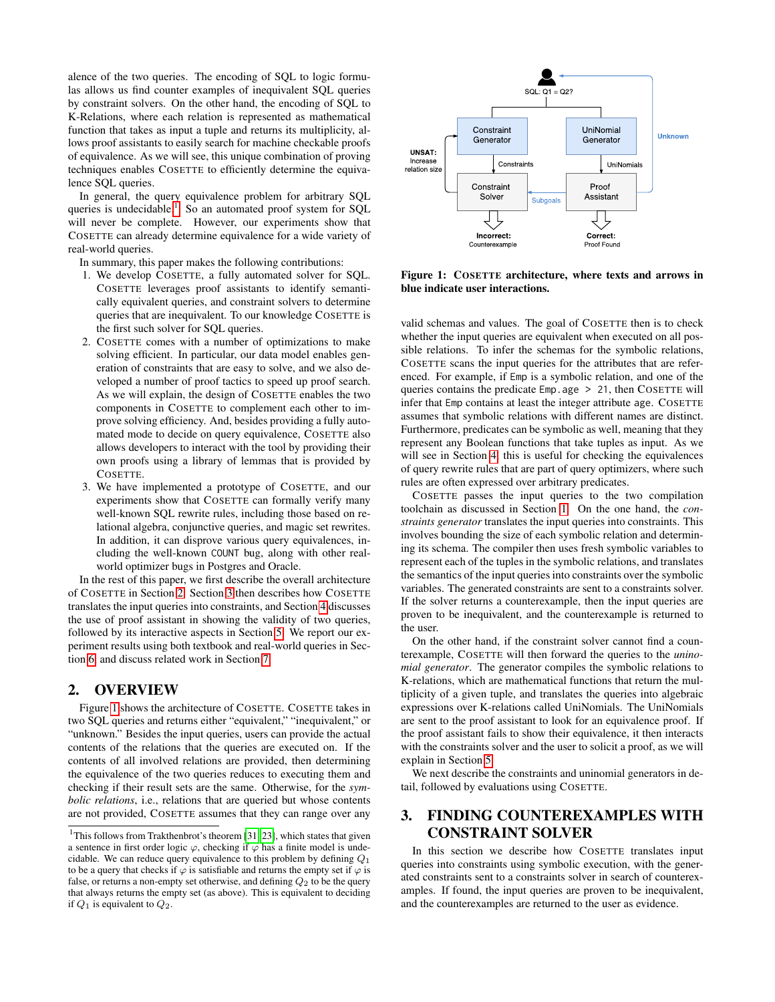alence of the two queries. The encoding of SQL to logic formulas allows us find counter examples of inequivalent SQL queries by constraint solvers. On the other hand, the encoding of SQL to K-Relations, where each relation is represented as mathematical function that takes as input a tuple and returns its multiplicity, allows proof assistants to easily search for machine checkable proofs of equivalence. As we will see, this unique combination of proving techniques enables COSETTE to efficiently determine the equivalence SQL queries.

In general, the query equivalence problem for arbitrary SQL queries is undecidable.<sup>[1](#page-1-0)</sup> So an automated proof system for SQL will never be complete. However, our experiments show that COSETTE can already determine equivalence for a wide variety of real-world queries.

In summary, this paper makes the following contributions:

- 1. We develop COSETTE, a fully automated solver for SQL. COSETTE leverages proof assistants to identify semantically equivalent queries, and constraint solvers to determine queries that are inequivalent. To our knowledge COSETTE is the first such solver for SQL queries.
- 2. COSETTE comes with a number of optimizations to make solving efficient. In particular, our data model enables generation of constraints that are easy to solve, and we also developed a number of proof tactics to speed up proof search. As we will explain, the design of COSETTE enables the two components in COSETTE to complement each other to improve solving efficiency. And, besides providing a fully automated mode to decide on query equivalence, COSETTE also allows developers to interact with the tool by providing their own proofs using a library of lemmas that is provided by COSETTE.
- 3. We have implemented a prototype of COSETTE, and our experiments show that COSETTE can formally verify many well-known SQL rewrite rules, including those based on relational algebra, conjunctive queries, and magic set rewrites. In addition, it can disprove various query equivalences, including the well-known COUNT bug, along with other realworld optimizer bugs in Postgres and Oracle.

In the rest of this paper, we first describe the overall architecture of COSETTE in Section [2.](#page-1-1) Section [3](#page-1-2) then describes how COSETTE translates the input queries into constraints, and Section [4](#page-3-0) discusses the use of proof assistant in showing the validity of two queries, followed by its interactive aspects in Section [5.](#page-4-0) We report our experiment results using both textbook and real-world queries in Section [6,](#page-4-1) and discuss related work in Section [7.](#page-5-0)

#### <span id="page-1-1"></span>2. OVERVIEW

Figure [1](#page-1-3) shows the architecture of COSETTE. COSETTE takes in two SQL queries and returns either "equivalent," "inequivalent," or "unknown." Besides the input queries, users can provide the actual contents of the relations that the queries are executed on. If the contents of all involved relations are provided, then determining the equivalence of the two queries reduces to executing them and checking if their result sets are the same. Otherwise, for the *symbolic relations*, i.e., relations that are queried but whose contents are not provided, COSETTE assumes that they can range over any



<span id="page-1-3"></span>Figure 1: COSETTE architecture, where texts and arrows in blue indicate user interactions.

valid schemas and values. The goal of COSETTE then is to check whether the input queries are equivalent when executed on all possible relations. To infer the schemas for the symbolic relations, COSETTE scans the input queries for the attributes that are referenced. For example, if Emp is a symbolic relation, and one of the queries contains the predicate Emp.age > 21, then COSETTE will infer that Emp contains at least the integer attribute age. COSETTE assumes that symbolic relations with different names are distinct. Furthermore, predicates can be symbolic as well, meaning that they represent any Boolean functions that take tuples as input. As we will see in Section [4,](#page-3-0) this is useful for checking the equivalences of query rewrite rules that are part of query optimizers, where such rules are often expressed over arbitrary predicates.

COSETTE passes the input queries to the two compilation toolchain as discussed in Section [1.](#page-0-0) On the one hand, the *constraints generator* translates the input queries into constraints. This involves bounding the size of each symbolic relation and determining its schema. The compiler then uses fresh symbolic variables to represent each of the tuples in the symbolic relations, and translates the semantics of the input queries into constraints over the symbolic variables. The generated constraints are sent to a constraints solver. If the solver returns a counterexample, then the input queries are proven to be inequivalent, and the counterexample is returned to the user.

On the other hand, if the constraint solver cannot find a counterexample, COSETTE will then forward the queries to the *uninomial generator*. The generator compiles the symbolic relations to K-relations, which are mathematical functions that return the multiplicity of a given tuple, and translates the queries into algebraic expressions over K-relations called UniNomials. The UniNomials are sent to the proof assistant to look for an equivalence proof. If the proof assistant fails to show their equivalence, it then interacts with the constraints solver and the user to solicit a proof, as we will explain in Section [5.](#page-4-0)

We next describe the constraints and uninomial generators in detail, followed by evaluations using COSETTE.

## <span id="page-1-2"></span>3. FINDING COUNTEREXAMPLES WITH CONSTRAINT SOLVER

In this section we describe how COSETTE translates input queries into constraints using symbolic execution, with the generated constraints sent to a constraints solver in search of counterexamples. If found, the input queries are proven to be inequivalent, and the counterexamples are returned to the user as evidence.

<span id="page-1-0"></span><sup>&</sup>lt;sup>1</sup>This follows from Trakthenbrot's theorem [\[31,](#page-6-6) [23\]](#page-6-24), which states that given a sentence in first order logic  $\varphi$ , checking if  $\varphi$  has a finite model is undecidable. We can reduce query equivalence to this problem by defining  $Q_1$ to be a query that checks if  $\varphi$  is satisfiable and returns the empty set if  $\varphi$  is false, or returns a non-empty set otherwise, and defining  $Q_2$  to be the query that always returns the empty set (as above). This is equivalent to deciding if  $Q_1$  is equivalent to  $Q_2$ .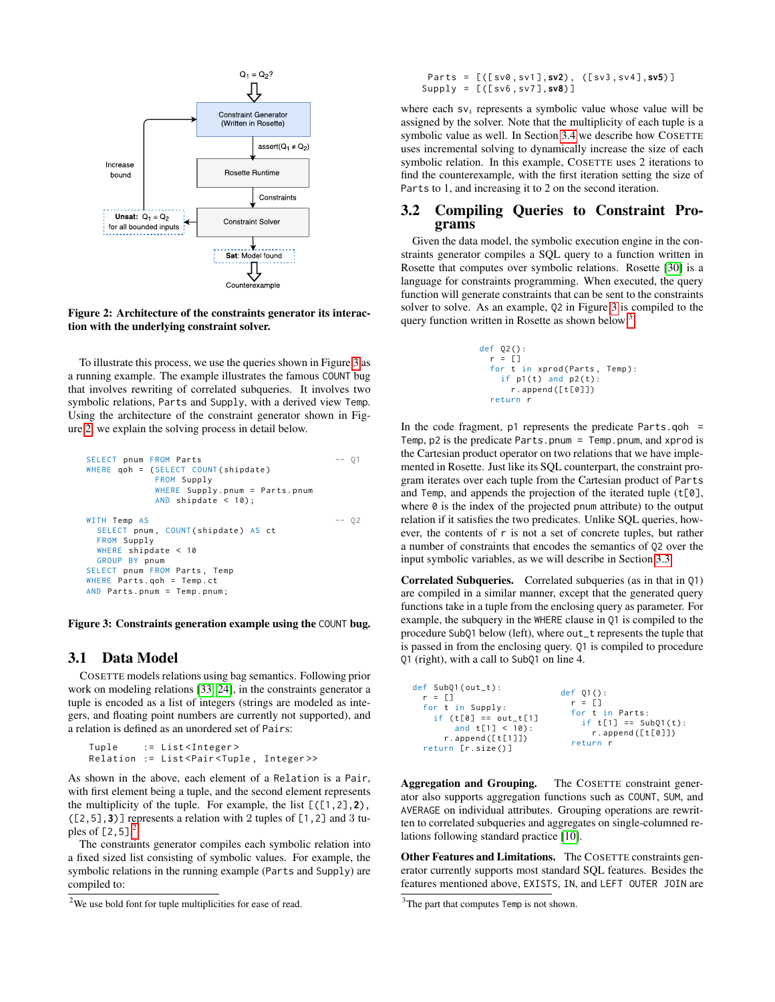

<span id="page-2-1"></span>Figure 2: Architecture of the constraints generator its interaction with the underlying constraint solver.

To illustrate this process, we use the queries shown in Figure [3](#page-2-0) as a running example. The example illustrates the famous COUNT bug that involves rewriting of correlated subqueries. It involves two symbolic relations, Parts and Supply, with a derived view Temp. Using the architecture of the constraint generator shown in Figure [2,](#page-2-1) we explain the solving process in detail below.

```
SELECT pnum FROM Parts -- Q1
WHERE qoh = (SELECT COUNT(shipdate)
           FROM Supply
           WHERE Supply . pnum = Parts . pnum
           AND shipdate < 10) ;
WITH Temp AS -- Q2
 SELECT pnum, COUNT (shipdate) AS ct
 FROM Supply
 WHERE shipdate < 10
 GROUP BY pnum
SELECT pnum FROM Parts , Temp
WHERE Parts.goh = Temp.ct
AND Parts . pnum = Temp . pnum ;
```
<span id="page-2-0"></span>Figure 3: Constraints generation example using the COUNT bug.

### <span id="page-2-5"></span>3.1 Data Model

COSETTE models relations using bag semantics. Following prior work on modeling relations [\[33,](#page-6-25) [24\]](#page-6-26), in the constraints generator a tuple is encoded as a list of integers (strings are modeled as integers, and floating point numbers are currently not supported), and a relation is defined as an unordered set of Pairs:

```
Tuple := List<Integer>
Relation := List<Pair<Tuple, Integer>>
```
As shown in the above, each element of a Relation is a Pair, with first element being a tuple, and the second element represents the multiplicity of the tuple. For example, the list  $[(1,2],2)$ , ([2,5],**3**)] represents a relation with 2 tuples of [1,2] and 3 tuples of  $[2, 5]$  $[2, 5]$  $[2, 5]$ .<sup>2</sup>

The constraints generator compiles each symbolic relation into a fixed sized list consisting of symbolic values. For example, the symbolic relations in the running example (Parts and Supply) are compiled to:

Parts = [([ sv0 , sv1 ] ,**sv2**) , ([ sv3 , sv4 ] ,**sv5**) ] Supply = [([ sv6 , sv7 ] ,**sv8**) ]

where each  $sv_i$  represents a symbolic value whose value will be assigned by the solver. Note that the multiplicity of each tuple is a symbolic value as well. In Section [3.4](#page-3-1) we describe how COSETTE uses incremental solving to dynamically increase the size of each symbolic relation. In this example, COSETTE uses 2 iterations to find the counterexample, with the first iteration setting the size of Parts to 1, and increasing it to 2 on the second iteration.

#### <span id="page-2-4"></span>3.2 Compiling Queries to Constraint Programs

Given the data model, the symbolic execution engine in the constraints generator compiles a SQL query to a function written in Rosette that computes over symbolic relations. Rosette [\[30\]](#page-6-27) is a language for constraints programming. When executed, the query function will generate constraints that can be sent to the constraints solver to solve. As an example, Q2 in Figure [3](#page-2-0) is compiled to the query function written in Rosette as shown below:<sup>[3](#page-2-3)</sup>

```
def Q2 () :
  r = \lceil]
  for t in xprod (Parts, Temp):
    if p1(t) and p2(t):
      r . append ([ t [0]])
  return r
```
In the code fragment,  $p1$  represents the predicate Parts.qoh = Temp, p2 is the predicate Parts.pnum = Temp.pnum, and xprod is the Cartesian product operator on two relations that we have implemented in Rosette. Just like its SQL counterpart, the constraint program iterates over each tuple from the Cartesian product of Parts and Temp, and appends the projection of the iterated tuple  $(t[0],$ where  $\theta$  is the index of the projected pnum attribute) to the output relation if it satisfies the two predicates. Unlike SQL queries, however, the contents of r is not a set of concrete tuples, but rather a number of constraints that encodes the semantics of Q2 over the input symbolic variables, as we will describe in Section [3.3.](#page-3-2)

Correlated Subqueries. Correlated subqueries (as in that in Q1) are compiled in a similar manner, except that the generated query functions take in a tuple from the enclosing query as parameter. For example, the subquery in the WHERE clause in Q1 is compiled to the procedure SubQ1 below (left), where out\_t represents the tuple that is passed in from the enclosing query. Q1 is compiled to procedure Q1 (right), with a call to SubQ1 on line 4.

| $def Sub01(out_t):$<br>$r = \Box$<br>for t in Supply:<br>if $(t[0] == out_t[1]$<br>and $t[1] < 10$ :<br>$r$ . append ( $[t[1]]$ )<br>return [r.size()] | def 01():<br>$r = 1$<br>for t in Parts:<br>if $t[1] == Sub01(t)$ :<br>r.append([t[0]])<br>return r |
|--------------------------------------------------------------------------------------------------------------------------------------------------------|----------------------------------------------------------------------------------------------------|
|--------------------------------------------------------------------------------------------------------------------------------------------------------|----------------------------------------------------------------------------------------------------|

Aggregation and Grouping. The COSETTE constraint generator also supports aggregation functions such as COUNT, SUM, and AVERAGE on individual attributes. Grouping operations are rewritten to correlated subqueries and aggregates on single-columned relations following standard practice [\[10\]](#page-6-28).

Other Features and Limitations. The COSETTE constraints generator currently supports most standard SQL features. Besides the features mentioned above, EXISTS, IN, and LEFT OUTER JOIN are

<span id="page-2-2"></span> $2$ We use bold font for tuple multiplicities for ease of read.

<span id="page-2-3"></span> $3$ The part that computes Temp is not shown.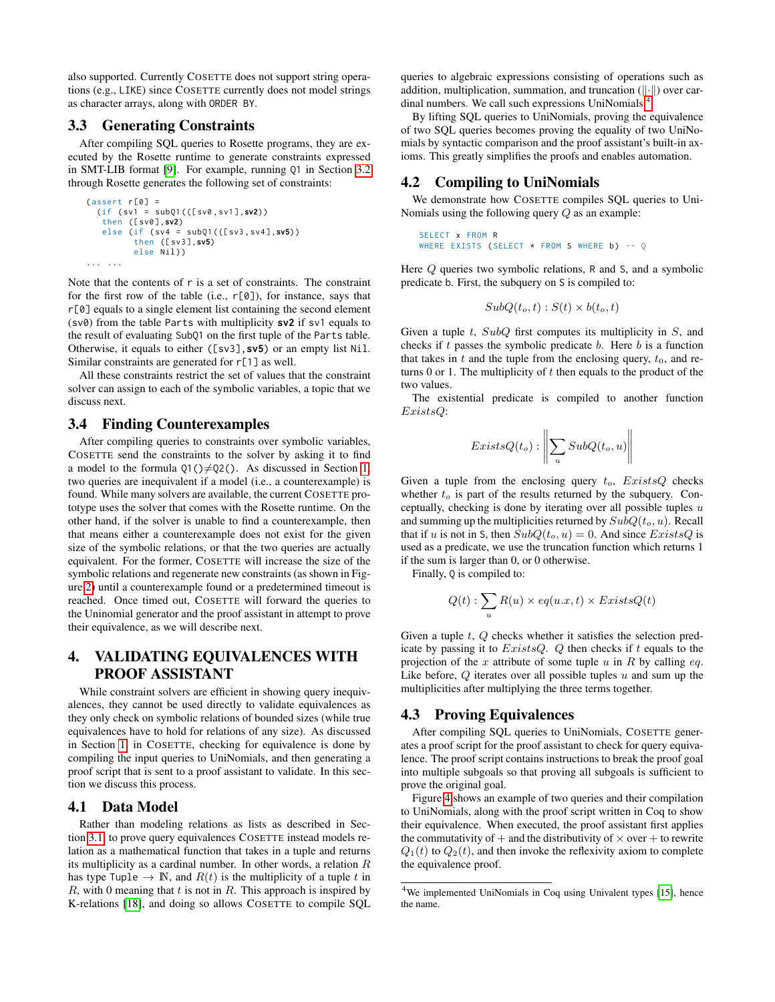also supported. Currently COSETTE does not support string operations (e.g., LIKE) since COSETTE currently does not model strings as character arrays, along with ORDER BY.

### <span id="page-3-2"></span>3.3 Generating Constraints

After compiling SQL queries to Rosette programs, they are executed by the Rosette runtime to generate constraints expressed in SMT-LIB format [\[9\]](#page-6-29). For example, running Q1 in Section [3.2](#page-2-4) through Rosette generates the following set of constraints:

```
(sasert r[0] =(if ( sv1 = subQ1 (([ sv0 , sv1 ] ,sv2) )
   then ([ sv0 ] ,sv2)
   else (if ( sv4 = subQ1 (([ sv3 , sv4 ] ,sv5) )
           then ([ sv3 ] ,sv5)
          else Nil))
... ...
```
Note that the contents of r is a set of constraints. The constraint for the first row of the table (i.e.,  $r[0]$ ), for instance, says that r[0] equals to a single element list containing the second element (sv0) from the table Parts with multiplicity **sv2** if sv1 equals to the result of evaluating SubQ1 on the first tuple of the Parts table. Otherwise, it equals to either ([sv3],**sv5**) or an empty list Nil. Similar constraints are generated for r[1] as well.

All these constraints restrict the set of values that the constraint solver can assign to each of the symbolic variables, a topic that we discuss next.

### <span id="page-3-1"></span>3.4 Finding Counterexamples

After compiling queries to constraints over symbolic variables, COSETTE send the constraints to the solver by asking it to find a model to the formula  $Q1() \neq Q2()$ . As discussed in Section [1,](#page-0-0) two queries are inequivalent if a model (i.e., a counterexample) is found. While many solvers are available, the current COSETTE prototype uses the solver that comes with the Rosette runtime. On the other hand, if the solver is unable to find a counterexample, then that means either a counterexample does not exist for the given size of the symbolic relations, or that the two queries are actually equivalent. For the former, COSETTE will increase the size of the symbolic relations and regenerate new constraints (as shown in Figure [2\)](#page-2-1) until a counterexample found or a predetermined timeout is reached. Once timed out, COSETTE will forward the queries to the Uninomial generator and the proof assistant in attempt to prove their equivalence, as we will describe next.

## <span id="page-3-0"></span>4. VALIDATING EQUIVALENCES WITH PROOF ASSISTANT

While constraint solvers are efficient in showing query inequivalences, they cannot be used directly to validate equivalences as they only check on symbolic relations of bounded sizes (while true equivalences have to hold for relations of any size). As discussed in Section [1,](#page-0-0) in COSETTE, checking for equivalence is done by compiling the input queries to UniNomials, and then generating a proof script that is sent to a proof assistant to validate. In this section we discuss this process.

## 4.1 Data Model

Rather than modeling relations as lists as described in Section [3.1,](#page-2-5) to prove query equivalences COSETTE instead models relation as a mathematical function that takes in a tuple and returns its multiplicity as a cardinal number. In other words, a relation R has type Tuple  $\rightarrow \mathbb{N}$ , and  $R(t)$  is the multiplicity of a tuple t in  $R$ , with 0 meaning that  $t$  is not in  $R$ . This approach is inspired by K-relations [\[18\]](#page-6-23), and doing so allows COSETTE to compile SQL queries to algebraic expressions consisting of operations such as addition, multiplication, summation, and truncation  $(|| \cdot ||)$  over cardinal numbers. We call such expressions UniNomials.[4](#page-3-3)

By lifting SQL queries to UniNomials, proving the equivalence of two SQL queries becomes proving the equality of two UniNomials by syntactic comparison and the proof assistant's built-in axioms. This greatly simplifies the proofs and enables automation.

## 4.2 Compiling to UniNomials

We demonstrate how COSETTE compiles SQL queries to Uni-Nomials using the following query Q as an example:

```
SELECT x FROM R
WHERE EXISTS (SELECT \star FROM S WHERE b) -- Q
```
Here Q queries two symbolic relations, R and S, and a symbolic predicate b. First, the subquery on S is compiled to:

$$
SubQ(t_o, t) : S(t) \times b(t_o, t)
$$

Given a tuple  $t$ ,  $SubQ$  first computes its multiplicity in  $S$ , and checks if  $t$  passes the symbolic predicate  $b$ . Here  $b$  is a function that takes in t and the tuple from the enclosing query,  $t_0$ , and returns  $0$  or 1. The multiplicity of  $t$  then equals to the product of the two values.

The existential predicate is compiled to another function ExistsQ:

$$
ExistsQ(t_o) : \left\| \sum_u SubQ(t_o, u) \right\|
$$

 $\ddot{\phantom{a}}$ 

Given a tuple from the enclosing query  $t_o$ ,  $ExistsQ$  checks whether  $t_o$  is part of the results returned by the subquery. Conceptually, checking is done by iterating over all possible tuples  $u$ and summing up the multiplicities returned by  $SubQ(t_o, u)$ . Recall that if u is not in S, then  $SubQ(t_o, u) = 0$ . And since  $ExistsQ$  is used as a predicate, we use the truncation function which returns 1 if the sum is larger than 0, or 0 otherwise.

Finally, Q is compiled to:

$$
Q(t): \sum_{u} R(u) \times eq(u.x, t) \times ExistsQ(t)
$$

Given a tuple  $t$ ,  $Q$  checks whether it satisfies the selection predicate by passing it to  $ExistsQ$ .  $Q$  then checks if  $t$  equals to the projection of the x attribute of some tuple  $u$  in  $R$  by calling eq. Like before,  $Q$  iterates over all possible tuples  $u$  and sum up the multiplicities after multiplying the three terms together.

#### 4.3 Proving Equivalences

After compiling SQL queries to UniNomials, COSETTE generates a proof script for the proof assistant to check for query equivalence. The proof script contains instructions to break the proof goal into multiple subgoals so that proving all subgoals is sufficient to prove the original goal.

Figure [4](#page-4-2) shows an example of two queries and their compilation to UniNomials, along with the proof script written in Coq to show their equivalence. When executed, the proof assistant first applies the commutativity of  $+$  and the distributivity of  $\times$  over  $+$  to rewrite  $Q_1(t)$  to  $Q_2(t)$ , and then invoke the reflexivity axiom to complete the equivalence proof.

<span id="page-3-3"></span><sup>&</sup>lt;sup>4</sup>We implemented UniNomials in Coq using Univalent types [\[15\]](#page-6-30), hence the name.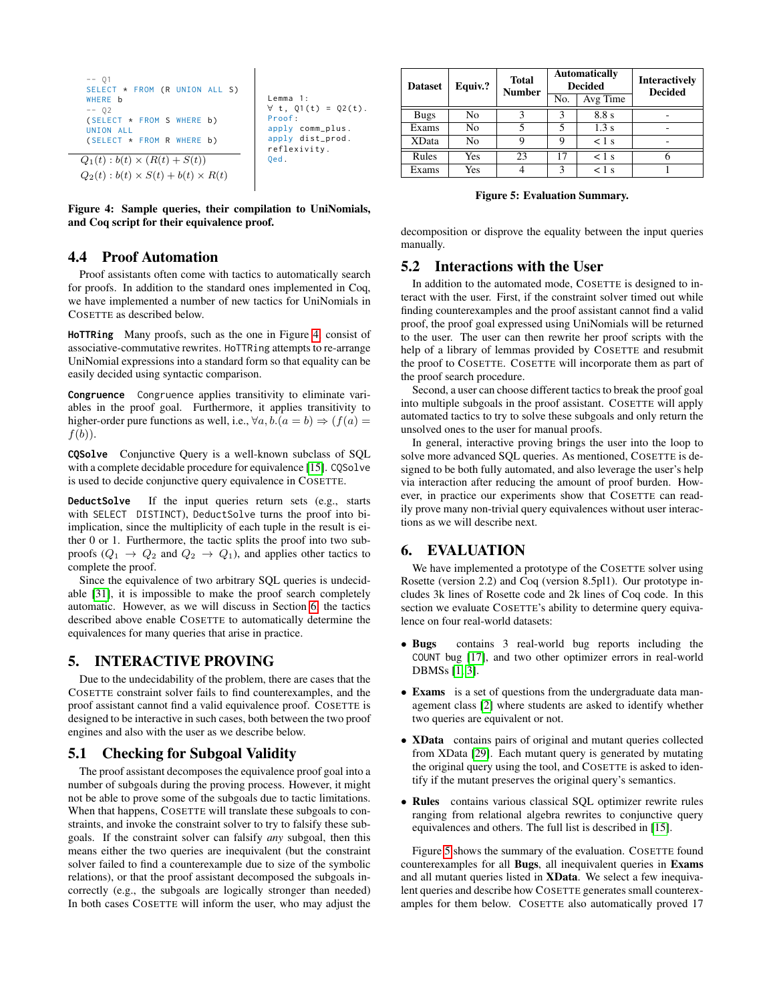```
-- Q1
 SELECT * FROM (R UNION ALL S)
 WHERE b
 -- 02( SELECT * FROM S WHERE b )
 UNION ALL
 ( SELECT * FROM R WHERE b)
Q_1(t) : b(t) \times (R(t) + S(t))Q_2(t): b(t) \times S(t) + b(t) \times R(t)Lemma 1:
                                          \forall t, Q1(t) = Q2(t).
                                          Proof :
                                           apply comm_plus .
                                           apply dist_prod .
                                           reflexivity .
                                          Qed.
```
<span id="page-4-2"></span>Figure 4: Sample queries, their compilation to UniNomials, and Coq script for their equivalence proof.

## <span id="page-4-4"></span>4.4 Proof Automation

Proof assistants often come with tactics to automatically search for proofs. In addition to the standard ones implemented in Coq, we have implemented a number of new tactics for UniNomials in COSETTE as described below.

**HoTTRing** Many proofs, such as the one in Figure [4,](#page-4-2) consist of associative-commutative rewrites. HoTTRing attempts to re-arrange UniNomial expressions into a standard form so that equality can be easily decided using syntactic comparison.

**Congruence** Congruence applies transitivity to eliminate variables in the proof goal. Furthermore, it applies transitivity to higher-order pure functions as well, i.e.,  $\forall a, b. (a = b) \Rightarrow (f(a) =$  $f(b)$ ).

**CQSolve** Conjunctive Query is a well-known subclass of SQL with a complete decidable procedure for equivalence [\[15\]](#page-6-30). CQSolve is used to decide conjunctive query equivalence in COSETTE.

**DeductSolve** If the input queries return sets (e.g., starts with SELECT DISTINCT), DeductSolve turns the proof into biimplication, since the multiplicity of each tuple in the result is either 0 or 1. Furthermore, the tactic splits the proof into two subproofs  $(Q_1 \rightarrow Q_2 \text{ and } Q_2 \rightarrow Q_1)$ , and applies other tactics to complete the proof.

Since the equivalence of two arbitrary SQL queries is undecidable [\[31\]](#page-6-6), it is impossible to make the proof search completely automatic. However, as we will discuss in Section [6,](#page-4-1) the tactics described above enable COSETTE to automatically determine the equivalences for many queries that arise in practice.

## <span id="page-4-0"></span>5. INTERACTIVE PROVING

Due to the undecidability of the problem, there are cases that the COSETTE constraint solver fails to find counterexamples, and the proof assistant cannot find a valid equivalence proof. COSETTE is designed to be interactive in such cases, both between the two proof engines and also with the user as we describe below.

#### 5.1 Checking for Subgoal Validity

The proof assistant decomposes the equivalence proof goal into a number of subgoals during the proving process. However, it might not be able to prove some of the subgoals due to tactic limitations. When that happens, COSETTE will translate these subgoals to constraints, and invoke the constraint solver to try to falsify these subgoals. If the constraint solver can falsify *any* subgoal, then this means either the two queries are inequivalent (but the constraint solver failed to find a counterexample due to size of the symbolic relations), or that the proof assistant decomposed the subgoals incorrectly (e.g., the subgoals are logically stronger than needed) In both cases COSETTE will inform the user, who may adjust the

| <b>Dataset</b> | Equiv.? | <b>Total</b><br><b>Number</b> | <b>Automatically</b><br><b>Decided</b> |            | <b>Interactively</b><br><b>Decided</b> |
|----------------|---------|-------------------------------|----------------------------------------|------------|----------------------------------------|
|                |         |                               | No.                                    | Avg Time   |                                        |
| <b>Bugs</b>    | No      |                               |                                        | 8.8 s      |                                        |
| Exams          | No      |                               |                                        | 1.3s       | -                                      |
| <b>XData</b>   | No      | Q                             | Q                                      | $<$ 1 s    |                                        |
| Rules          | Yes     | 23                            | 17                                     | $<$ 1 s    |                                        |
| Exams          | Yes     |                               | κ                                      | $\leq 1$ s |                                        |

<span id="page-4-3"></span>Figure 5: Evaluation Summary.

decomposition or disprove the equality between the input queries manually.

#### 5.2 Interactions with the User

In addition to the automated mode, COSETTE is designed to interact with the user. First, if the constraint solver timed out while finding counterexamples and the proof assistant cannot find a valid proof, the proof goal expressed using UniNomials will be returned to the user. The user can then rewrite her proof scripts with the help of a library of lemmas provided by COSETTE and resubmit the proof to COSETTE. COSETTE will incorporate them as part of the proof search procedure.

Second, a user can choose different tactics to break the proof goal into multiple subgoals in the proof assistant. COSETTE will apply automated tactics to try to solve these subgoals and only return the unsolved ones to the user for manual proofs.

In general, interactive proving brings the user into the loop to solve more advanced SQL queries. As mentioned, COSETTE is designed to be both fully automated, and also leverage the user's help via interaction after reducing the amount of proof burden. However, in practice our experiments show that COSETTE can readily prove many non-trivial query equivalences without user interactions as we will describe next.

## <span id="page-4-1"></span>6. EVALUATION

We have implemented a prototype of the COSETTE solver using Rosette (version 2.2) and Coq (version 8.5pl1). Our prototype includes 3k lines of Rosette code and 2k lines of Coq code. In this section we evaluate COSETTE's ability to determine query equivalence on four real-world datasets:

- Bugs contains 3 real-world bug reports including the COUNT bug [\[17\]](#page-6-9), and two other optimizer errors in real-world DBMSs [\[1,](#page-6-10) [3\]](#page-6-11).
- Exams is a set of questions from the undergraduate data management class [\[2\]](#page-6-31) where students are asked to identify whether two queries are equivalent or not.
- XData contains pairs of original and mutant queries collected from XData [\[29\]](#page-6-3). Each mutant query is generated by mutating the original query using the tool, and COSETTE is asked to identify if the mutant preserves the original query's semantics.
- Rules contains various classical SQL optimizer rewrite rules ranging from relational algebra rewrites to conjunctive query equivalences and others. The full list is described in [\[15\]](#page-6-30).

Figure [5](#page-4-3) shows the summary of the evaluation. COSETTE found counterexamples for all Bugs, all inequivalent queries in Exams and all mutant queries listed in XData. We select a few inequivalent queries and describe how COSETTE generates small counterexamples for them below. COSETTE also automatically proved 17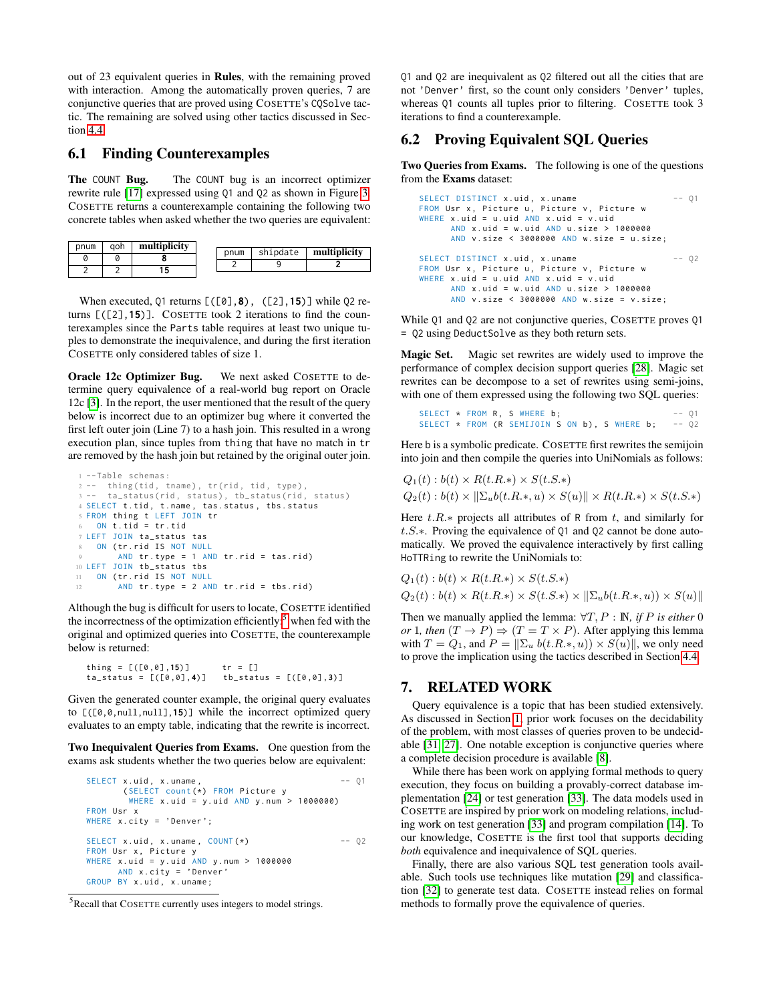out of 23 equivalent queries in Rules, with the remaining proved with interaction. Among the automatically proven queries, 7 are conjunctive queries that are proved using COSETTE's CQSolve tactic. The remaining are solved using other tactics discussed in Section [4.4.](#page-4-4)

## 6.1 Finding Counterexamples

The COUNT Bug. The COUNT bug is an incorrect optimizer rewrite rule [\[17\]](#page-6-9) expressed using Q1 and Q2 as shown in Figure [3.](#page-2-0) COSETTE returns a counterexample containing the following two concrete tables when asked whether the two queries are equivalent:

| pnum | aoh | multiplicity |      |          |              |
|------|-----|--------------|------|----------|--------------|
|      |     |              | pnum | shipdate | multiplicity |
|      |     |              |      |          |              |
|      |     |              |      |          |              |
|      |     |              |      |          |              |
|      |     |              |      |          |              |

When executed, Q1 returns [([0],**8**), ([2],**15**)] while Q2 returns [([2],**15**)]. COSETTE took 2 iterations to find the counterexamples since the Parts table requires at least two unique tuples to demonstrate the inequivalence, and during the first iteration COSETTE only considered tables of size 1.

Oracle 12c Optimizer Bug. We next asked COSETTE to determine query equivalence of a real-world bug report on Oracle 12c [\[3\]](#page-6-11). In the report, the user mentioned that the result of the query below is incorrect due to an optimizer bug where it converted the first left outer join (Line 7) to a hash join. This resulted in a wrong execution plan, since tuples from thing that have no match in tr are removed by the hash join but retained by the original outer join.

```
1 --Table schemas :
2 -- thing (tid, tname), tr (rid, tid, type),
     ta_status(rid, status), tb_status(rid, status)
4 SELECT t.tid, t.name, tas.status, tbs.status
5 FROM thing t LEFT JOIN tr
   ON t . tid = tr . tid7 LEFT JOIN ta_status tas
   ON (tr. rid IS NOT NULL
        AND tr. type = 1 AND tr. rid = tas. rid10 LEFT JOIN tb_status tbs
11 ON ( tr . rid IS NOT NULL
12 AND tr. type = 2 AND tr. rid = tbs. rid)
```
Although the bug is difficult for users to locate, COSETTE identified the incorrectness of the optimization efficiently: $5$  when fed with the original and optimized queries into COSETTE, the counterexample below is returned:

$$
thing = [[(0,0],15)] \ttr = []ta_{status} = [([0,0],4)] \ttb_{status} = [([0,0],3)]
$$

Given the generated counter example, the original query evaluates to [([0,0,null,null],**15**)] while the incorrect optimized query evaluates to an empty table, indicating that the rewrite is incorrect.

Two Inequivalent Queries from Exams. One question from the exams ask students whether the two queries below are equivalent:

```
SELECT x.uid, x. uname,( SELECT count (*) FROM Picture y
       WHERE x . uid = y . uid AND y . num > 1000000)
FROM Usr x
WHERE x.city = 'Denver';
SELECT x.uid, x. uname, COUNT(*) -- Q2
FROM Usr x, Picture y
WHERE x.uid = y.uid AND y.num > 1000000AND x . city = ' Denver '
GROUP BY x . uid , x . uname ;
```
Q1 and Q2 are inequivalent as Q2 filtered out all the cities that are not 'Denver' first, so the count only considers 'Denver' tuples, whereas Q1 counts all tuples prior to filtering. COSETTE took 3 iterations to find a counterexample.

## 6.2 Proving Equivalent SQL Queries

Two Queries from Exams. The following is one of the questions from the Exams dataset:

```
SELECT DISTINCT x.uid, x.uname -- Q1
FROM U<mark>sr x, Picture u, Picture v, Picture w</mark><br>WHERE x.uid = u.uid AND x.uid = v.uid
      AND x . uid = w . uid AND u . size > 1000000
      AND v . size < 3000000 AND w . size = u . size ;
SELECT DISTINCT x.uid, x.uname -- Q2
FROM Usr x, Picture u, Picture v, Picture w
WHERE x. uid = u.uid AND x. uid = v.uid
      AND x . uid = w . uid AND u . size > 1000000
      AND v . size < 3000000 AND w . size = v . size ;
```
While Q1 and Q2 are not conjunctive queries, COSETTE proves Q1 = Q2 using DeductSolve as they both return sets.

Magic Set. Magic set rewrites are widely used to improve the performance of complex decision support queries [\[28\]](#page-6-12). Magic set rewrites can be decompose to a set of rewrites using semi-joins, with one of them expressed using the following two SQL queries:

```
SELECT \star FROM R, S WHERE b; -- Q1<br>SELECT \star FROM (R SEMIJOIN S ON b). S WHERE b: -- Q2
SELECT \star FROM (R SEMIJOIN S ON b), S WHERE b;
```
Here b is a symbolic predicate. COSETTE first rewrites the semijoin into join and then compile the queries into UniNomials as follows:

$$
Q_1(t): b(t) \times R(t.R.*) \times S(t.S.*)
$$
  
 
$$
Q_2(t): b(t) \times ||\Sigma_u b(t.R.*, u) \times S(u)|| \times R(t.R.) \times S(t.S.)
$$

Here  $t.R.*$  projects all attributes of R from t, and similarly for t.S.∗. Proving the equivalence of Q1 and Q2 cannot be done automatically. We proved the equivalence interactively by first calling HoTTRing to rewrite the UniNomials to:

$$
Q_1(t): b(t) \times R(t.R.) \times S(t.S.)
$$
  

$$
Q_2(t): b(t) \times R(t.R.) \times S(t.S.) \times ||\Sigma_u b(t.R., u)) \times S(u)||
$$

Then we manually applied the lemma: ∀T, P : N*, if* P *is either* 0 *or* 1*, then*  $(T \to P) \Rightarrow (T = T \times P)$ . After applying this lemma with  $T = Q_1$ , and  $P = ||\sum_u b(t.R.*, u)) \times S(u)||$ , we only need to prove the implication using the tactics described in Section [4.4.](#page-4-4)

## <span id="page-5-0"></span>7. RELATED WORK

Query equivalence is a topic that has been studied extensively. As discussed in Section [1,](#page-0-0) prior work focuses on the decidability of the problem, with most classes of queries proven to be undecidable [\[31,](#page-6-6) [27\]](#page-6-7). One notable exception is conjunctive queries where a complete decision procedure is available [\[8\]](#page-6-32).

While there has been work on applying formal methods to query execution, they focus on building a provably-correct database implementation [\[24\]](#page-6-26) or test generation [\[33\]](#page-6-25). The data models used in COSETTE are inspired by prior work on modeling relations, including work on test generation [\[33\]](#page-6-25) and program compilation [\[14\]](#page-6-2). To our knowledge, COSETTE is the first tool that supports deciding *both* equivalence and inequivalence of SQL queries.

Finally, there are also various SQL test generation tools available. Such tools use techniques like mutation [\[29\]](#page-6-3) and classification [\[32\]](#page-6-33) to generate test data. COSETTE instead relies on formal methods to formally prove the equivalence of queries.

<span id="page-5-1"></span> $5$ Recall that COSETTE currently uses integers to model strings.